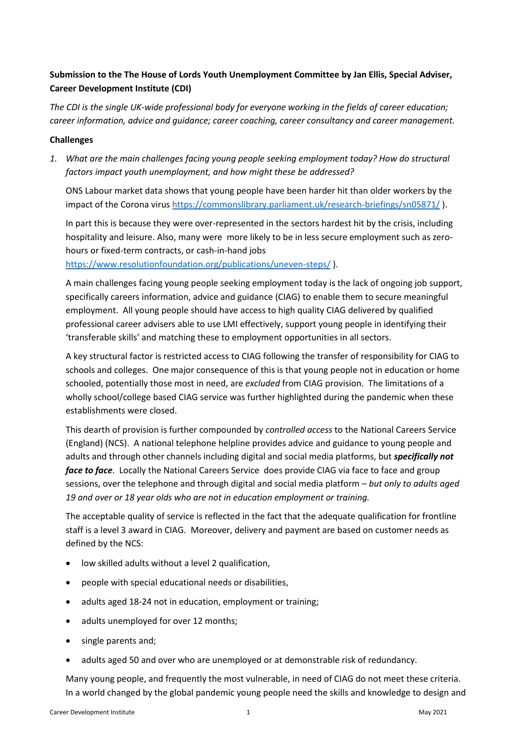## **Submission to the The House of Lords Youth Unemployment Committee by Jan Ellis, Special Adviser, Career Development Institute (CDI)**

*The CDI is the single UK-wide professional body for everyone working in the fields of career education; career information, advice and guidance; career coaching, career consultancy and career management.* 

#### **Challenges**

*1. What are the main challenges facing young people seeking employment today? How do structural factors impact youth unemployment, and how might these be addressed?*

ONS Labour market data shows that young people have been harder hit than older workers by the impact of the Corona virus <https://commonslibrary.parliament.uk/research-briefings/sn05871/> ).

In part this is because they were over-represented in the sectors hardest hit by the crisis, including hospitality and leisure. Also, many were more likely to be in less secure employment such as zerohours or fixed-term contracts, or cash-in-hand jobs

<https://www.resolutionfoundation.org/publications/uneven-steps/> ).

A main challenges facing young people seeking employment today is the lack of ongoing job support, specifically careers information, advice and guidance (CIAG) to enable them to secure meaningful employment. All young people should have access to high quality CIAG delivered by qualified professional career advisers able to use LMI effectively, support young people in identifying their 'transferable skills' and matching these to employment opportunities in all sectors.

A key structural factor is restricted access to CIAG following the transfer of responsibility for CIAG to schools and colleges. One major consequence of this is that young people not in education or home schooled, potentially those most in need, are *excluded* from CIAG provision. The limitations of a wholly school/college based CIAG service was further highlighted during the pandemic when these establishments were closed.

This dearth of provision is further compounded by *controlled access* to the National Careers Service (England) (NCS). A national telephone helpline provides advice and guidance to young people and adults and through other channels including digital and social media platforms, but *specifically not face to face*. Locally the National Careers Service does provide CIAG via face to face and group sessions, over the telephone and through digital and social media platform – *but only to adults aged 19 and over or 18 year olds who are not in education employment or training.*

The acceptable quality of service is reflected in the fact that the adequate qualification for frontline staff is a level 3 award in CIAG. Moreover, delivery and payment are based on customer needs as defined by the NCS:

- low skilled adults without a level 2 qualification,
- people with special educational needs or disabilities,
- adults aged 18-24 not in education, employment or training;
- adults unemployed for over 12 months;
- single parents and;
- adults aged 50 and over who are unemployed or at demonstrable risk of redundancy.

Many young people, and frequently the most vulnerable, in need of CIAG do not meet these criteria. In a world changed by the global pandemic young people need the skills and knowledge to design and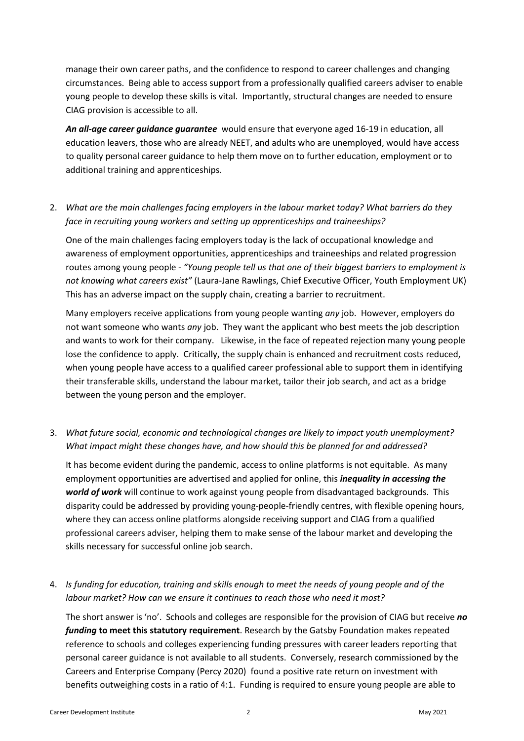manage their own career paths, and the confidence to respond to career challenges and changing circumstances. Being able to access support from a professionally qualified careers adviser to enable young people to develop these skills is vital. Importantly, structural changes are needed to ensure CIAG provision is accessible to all.

*An all-age career guidance guarantee* would ensure that everyone aged 16-19 in education, all education leavers, those who are already NEET, and adults who are unemployed, would have access to quality personal career guidance to help them move on to further education, employment or to additional training and apprenticeships.

## 2. *What are the main challenges facing employers in the labour market today? What barriers do they face in recruiting young workers and setting up apprenticeships and traineeships?*

One of the main challenges facing employers today is the lack of occupational knowledge and awareness of employment opportunities, apprenticeships and traineeships and related progression routes among young people - *"Young people tell us that one of their biggest barriers to employment is not knowing what careers exist"* (Laura-Jane Rawlings, Chief Executive Officer, Youth Employment UK) This has an adverse impact on the supply chain, creating a barrier to recruitment.

Many employers receive applications from young people wanting *any* job. However, employers do not want someone who wants *any* job. They want the applicant who best meets the job description and wants to work for their company. Likewise, in the face of repeated rejection many young people lose the confidence to apply. Critically, the supply chain is enhanced and recruitment costs reduced, when young people have access to a qualified career professional able to support them in identifying their transferable skills, understand the labour market, tailor their job search, and act as a bridge between the young person and the employer.

### 3. *What future social, economic and technological changes are likely to impact youth unemployment? What impact might these changes have, and how should this be planned for and addressed?*

It has become evident during the pandemic, access to online platforms is not equitable. As many employment opportunities are advertised and applied for online, this *inequality in accessing the world of work* will continue to work against young people from disadvantaged backgrounds. This disparity could be addressed by providing young-people-friendly centres, with flexible opening hours, where they can access online platforms alongside receiving support and CIAG from a qualified professional careers adviser, helping them to make sense of the labour market and developing the skills necessary for successful online job search.

### 4. *Is funding for education, training and skills enough to meet the needs of young people and of the labour market? How can we ensure it continues to reach those who need it most?*

The short answer is 'no'. Schools and colleges are responsible for the provision of CIAG but receive *no funding* **to meet this statutory requirement**. Research by the Gatsby Foundation makes repeated reference to schools and colleges experiencing funding pressures with career leaders reporting that personal career guidance is not available to all students. Conversely, research commissioned by the Careers and Enterprise Company (Percy 2020) found a positive rate return on investment with benefits outweighing costs in a ratio of 4:1. Funding is required to ensure young people are able to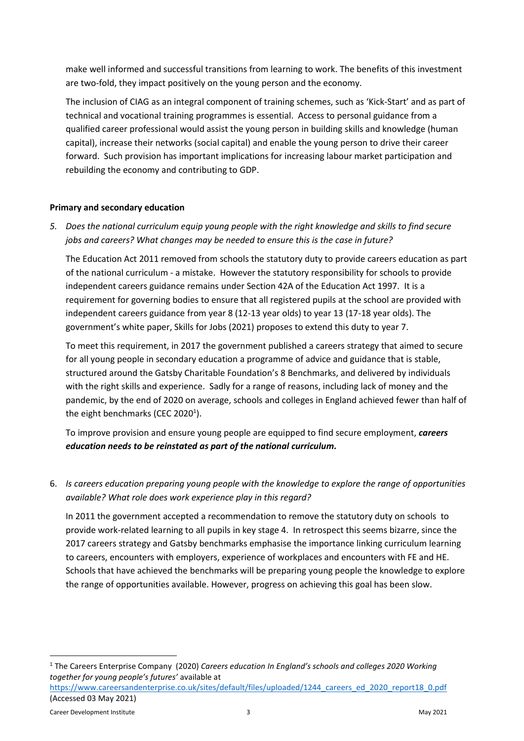make well informed and successful transitions from learning to work. The benefits of this investment are two-fold, they impact positively on the young person and the economy.

The inclusion of CIAG as an integral component of training schemes, such as 'Kick-Start' and as part of technical and vocational training programmes is essential. Access to personal guidance from a qualified career professional would assist the young person in building skills and knowledge (human capital), increase their networks (social capital) and enable the young person to drive their career forward. Such provision has important implications for increasing labour market participation and rebuilding the economy and contributing to GDP.

#### **Primary and secondary education**

*5. Does the national curriculum equip young people with the right knowledge and skills to find secure jobs and careers? What changes may be needed to ensure this is the case in future?*

The Education Act 2011 removed from schools the statutory duty to provide careers education as part of the national curriculum - a mistake. However the statutory responsibility for schools to provide independent careers guidance remains under Section 42A of the Education Act 1997. It is a requirement for governing bodies to ensure that all registered pupils at the school are provided with independent careers guidance from year 8 (12-13 year olds) to year 13 (17-18 year olds). The government's white paper, Skills for Jobs (2021) proposes to extend this duty to year 7.

To meet this requirement, in 2017 the government published a careers strategy that aimed to secure for all young people in secondary education a programme of advice and guidance that is stable, structured around the Gatsby Charitable Foundation's 8 Benchmarks, and delivered by individuals with the right skills and experience. Sadly for a range of reasons, including lack of money and the pandemic, by the end of 2020 on average, schools and colleges in England achieved fewer than half of the eight benchmarks (CEC 2020 $^1$ ).

To improve provision and ensure young people are equipped to find secure employment, *careers education needs to be reinstated as part of the national curriculum.*

6. *Is careers education preparing young people with the knowledge to explore the range of opportunities available? What role does work experience play in this regard?*

In 2011 the government accepted a recommendation to remove the statutory duty on schools to provide work-related learning to all pupils in key stage 4. In retrospect this seems bizarre, since the 2017 careers strategy and Gatsby benchmarks emphasise the importance linking curriculum learning to careers, encounters with employers, experience of workplaces and encounters with FE and HE. Schools that have achieved the benchmarks will be preparing young people the knowledge to explore the range of opportunities available. However, progress on achieving this goal has been slow.

<sup>1</sup> The Careers Enterprise Company (2020) *Careers education In England's schools and colleges 2020 Working together for young people's futures'* available at

https://www.careersandenterprise.co.uk/sites/default/files/uploaded/1244 careers\_ed\_2020\_report18\_0.pdf (Accessed 03 May 2021)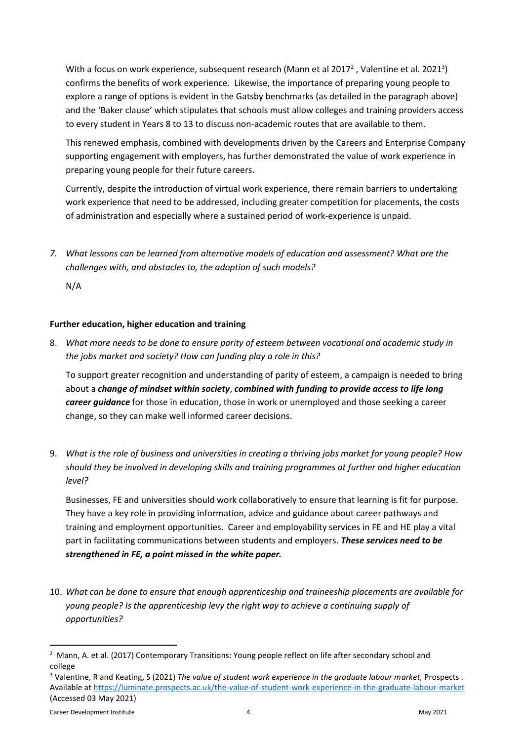With a focus on work experience, subsequent research (Mann et al 2017<sup>2</sup>, Valentine et al. 2021<sup>3</sup>) confirms the benefits of work experience. Likewise, the importance of preparing young people to explore a range of options is evident in the Gatsby benchmarks (as detailed in the paragraph above) and the 'Baker clause' which stipulates that schools must allow colleges and training providers access to every student in Years 8 to 13 to discuss non-academic routes that are available to them.

This renewed emphasis, combined with developments driven by the Careers and Enterprise Company supporting engagement with employers, has further demonstrated the value of work experience in preparing young people for their future careers.

Currently, despite the introduction of virtual work experience, there remain barriers to undertaking work experience that need to be addressed, including greater competition for placements, the costs of administration and especially where a sustained period of work-experience is unpaid.

*7. What lessons can be learned from alternative models of education and assessment? What are the challenges with, and obstacles to, the adoption of such models?*

N/A

#### **Further education, higher education and training**

8. *What more needs to be done to ensure parity of esteem between vocational and academic study in the jobs market and society? How can funding play a role in this?*

To support greater recognition and understanding of parity of esteem, a campaign is needed to bring about a *change of mindset within society*, *combined with funding to provide access to life long career guidance* for those in education, those in work or unemployed and those seeking a career change, so they can make well informed career decisions.

9. *What is the role of business and universities in creating a thriving jobs market for young people? How should they be involved in developing skills and training programmes at further and higher education level?*

Businesses, FE and universities should work collaboratively to ensure that learning is fit for purpose. They have a key role in providing information, advice and guidance about career pathways and training and employment opportunities. Career and employability services in FE and HE play a vital part in facilitating communications between students and employers. *These services need to be strengthened in FE, a point missed in the white paper.*

10. *What can be done to ensure that enough apprenticeship and traineeship placements are available for young people? Is the apprenticeship levy the right way to achieve a continuing supply of opportunities?*

<sup>3</sup> Valentine, R and Keating, S (2021) *The value of student work experience in the graduate labour market,* Prospects . Available at<https://luminate.prospects.ac.uk/the-value-of-student-work-experience-in-the-graduate-labour-market> (Accessed 03 May 2021)

 $^2$  Mann, A. et al. (2017) Contemporary Transitions: Young people reflect on life after secondary school and college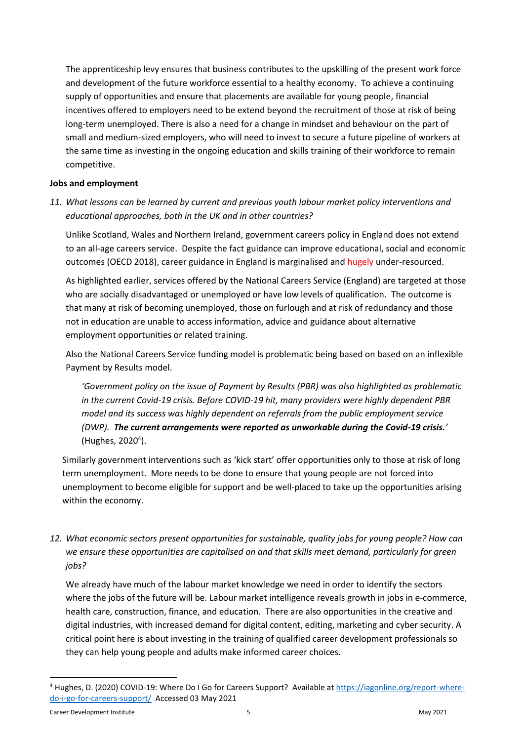The apprenticeship levy ensures that business contributes to the upskilling of the present work force and development of the future workforce essential to a healthy economy. To achieve a continuing supply of opportunities and ensure that placements are available for young people, financial incentives offered to employers need to be extend beyond the recruitment of those at risk of being long-term unemployed. There is also a need for a change in mindset and behaviour on the part of small and medium-sized employers, who will need to invest to secure a future pipeline of workers at the same time as investing in the ongoing education and skills training of their workforce to remain competitive.

#### **Jobs and employment**

*11. What lessons can be learned by current and previous youth labour market policy interventions and educational approaches, both in the UK and in other countries?*

Unlike Scotland, Wales and Northern Ireland, government careers policy in England does not extend to an all-age careers service. Despite the fact guidance can improve educational, social and economic outcomes (OECD 2018), career guidance in England is marginalised and hugely under-resourced.

As highlighted earlier, services offered by the National Careers Service (England) are targeted at those who are socially disadvantaged or unemployed or have low levels of qualification. The outcome is that many at risk of becoming unemployed, those on furlough and at risk of redundancy and those not in education are unable to access information, advice and guidance about alternative employment opportunities or related training.

Also the National Careers Service funding model is problematic being based on based on an inflexible Payment by Results model.

*'Government policy on the issue of Payment by Results (PBR) was also highlighted as problematic in the current Covid-19 crisis. Before COVID-19 hit, many providers were highly dependent PBR model and its success was highly dependent on referrals from the public employment service (DWP). The current arrangements were reported as unworkable during the Covid-19 crisis.'* (Hughes, 2020<sup>4</sup>).

Similarly government interventions such as 'kick start' offer opportunities only to those at risk of long term unemployment. More needs to be done to ensure that young people are not forced into unemployment to become eligible for support and be well-placed to take up the opportunities arising within the economy.

*12. What economic sectors present opportunities for sustainable, quality jobs for young people? How can we ensure these opportunities are capitalised on and that skills meet demand, particularly for green jobs?*

We already have much of the labour market knowledge we need in order to identify the sectors where the jobs of the future will be. Labour market intelligence reveals growth in jobs in e-commerce, health care, construction, finance, and education. There are also opportunities in the creative and digital industries, with increased demand for digital content, editing, marketing and cyber security. A critical point here is about investing in the training of qualified career development professionals so they can help young people and adults make informed career choices.

<sup>4</sup> Hughes, D. (2020) COVID-19: Where Do I Go for Careers Support? Available at [https://iagonline.org/report-where](https://iagonline.org/report-where-do-i-go-for-careers-support/)[do-i-go-for-careers-support/](https://iagonline.org/report-where-do-i-go-for-careers-support/) Accessed 03 May 2021